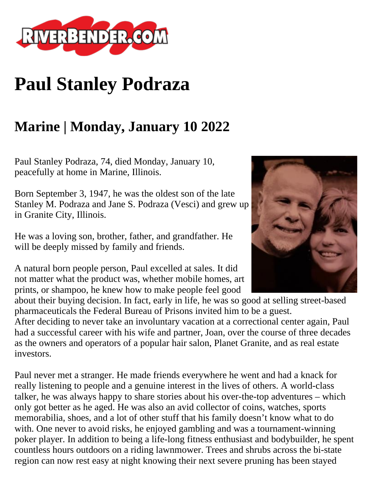

## **Paul Stanley Podraza**

## **Marine | Monday, January 10 2022**

Paul Stanley Podraza, 74, died Monday, January 10, peacefully at home in Marine, Illinois.

Born September 3, 1947, he was the oldest son of the late Stanley M. Podraza and Jane S. Podraza (Vesci) and grew up in Granite City, Illinois.

He was a loving son, brother, father, and grandfather. He will be deeply missed by family and friends.

A natural born people person, Paul excelled at sales. It did not matter what the product was, whether mobile homes, art prints, or shampoo, he knew how to make people feel good

about their buying decision. In fact, early in life, he was so good at selling street-based pharmaceuticals the Federal Bureau of Prisons invited him to be a guest.

After deciding to never take an involuntary vacation at a correctional center again, Paul had a successful career with his wife and partner, Joan, over the course of three decades as the owners and operators of a popular hair salon, Planet Granite, and as real estate investors.

Paul never met a stranger. He made friends everywhere he went and had a knack for really listening to people and a genuine interest in the lives of others. A world-class talker, he was always happy to share stories about his over-the-top adventures – which only got better as he aged. He was also an avid collector of coins, watches, sports memorabilia, shoes, and a lot of other stuff that his family doesn't know what to do with. One never to avoid risks, he enjoyed gambling and was a tournament-winning poker player. In addition to being a life-long fitness enthusiast and bodybuilder, he spent countless hours outdoors on a riding lawnmower. Trees and shrubs across the bi-state region can now rest easy at night knowing their next severe pruning has been stayed